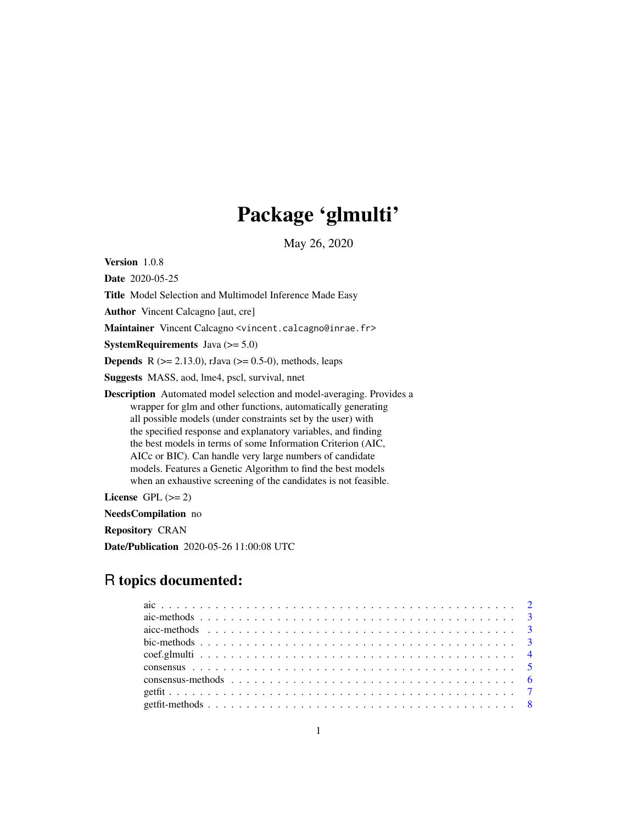# Package 'glmulti'

May 26, 2020

<span id="page-0-0"></span>Version 1.0.8

Date 2020-05-25

Title Model Selection and Multimodel Inference Made Easy

Author Vincent Calcagno [aut, cre]

Maintainer Vincent Calcagno <vincent.calcagno@inrae.fr>

**SystemRequirements** Java  $(>= 5.0)$ 

**Depends** R ( $>= 2.13.0$ ), rJava ( $>= 0.5-0$ ), methods, leaps

Suggests MASS, aod, lme4, pscl, survival, nnet

Description Automated model selection and model-averaging. Provides a wrapper for glm and other functions, automatically generating all possible models (under constraints set by the user) with the specified response and explanatory variables, and finding the best models in terms of some Information Criterion (AIC, AICc or BIC). Can handle very large numbers of candidate models. Features a Genetic Algorithm to find the best models when an exhaustive screening of the candidates is not feasible.

License GPL  $(>= 2)$ 

NeedsCompilation no

Repository CRAN

Date/Publication 2020-05-26 11:00:08 UTC

# R topics documented: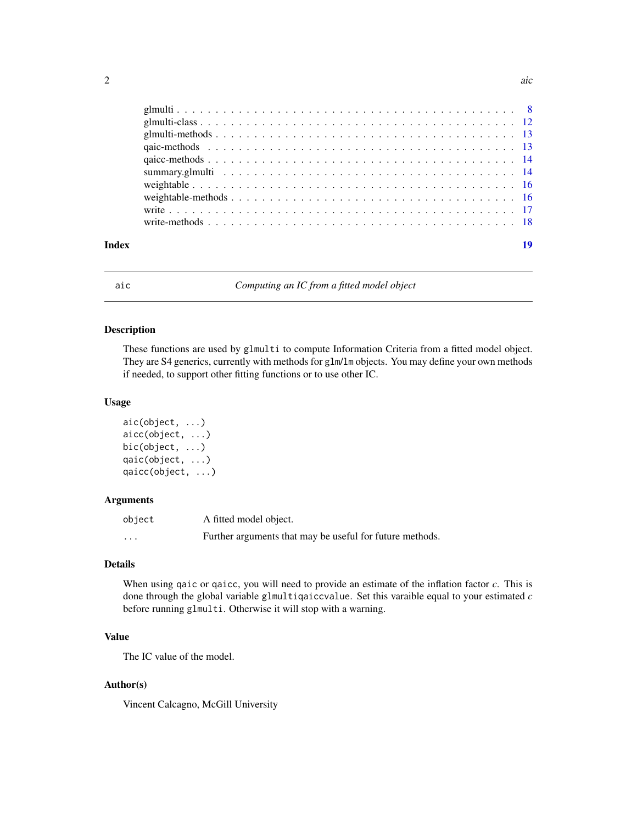<span id="page-1-0"></span>

| Index | 19 |
|-------|----|
|       |    |
|       |    |
|       |    |
|       |    |
|       |    |
|       |    |
|       |    |
|       |    |
|       |    |
|       |    |

<span id="page-1-1"></span>

aic *Computing an IC from a fitted model object*

#### Description

These functions are used by glmulti to compute Information Criteria from a fitted model object. They are S4 generics, currently with methods for glm/lm objects. You may define your own methods if needed, to support other fitting functions or to use other IC.

# Usage

```
aic(object, ...)
aicc(object, ...)
bic(object, ...)
qaic(object, ...)
qaicc(object, ...)
```
#### Arguments

| object   | A fitted model object.                                   |
|----------|----------------------------------------------------------|
| $\cdots$ | Further arguments that may be useful for future methods. |

#### Details

When using qaic or qaicc, you will need to provide an estimate of the inflation factor *c*. This is done through the global variable glmultiqaiccvalue. Set this varaible equal to your estimated *c* before running glmulti. Otherwise it will stop with a warning.

# Value

The IC value of the model.

# Author(s)

Vincent Calcagno, McGill University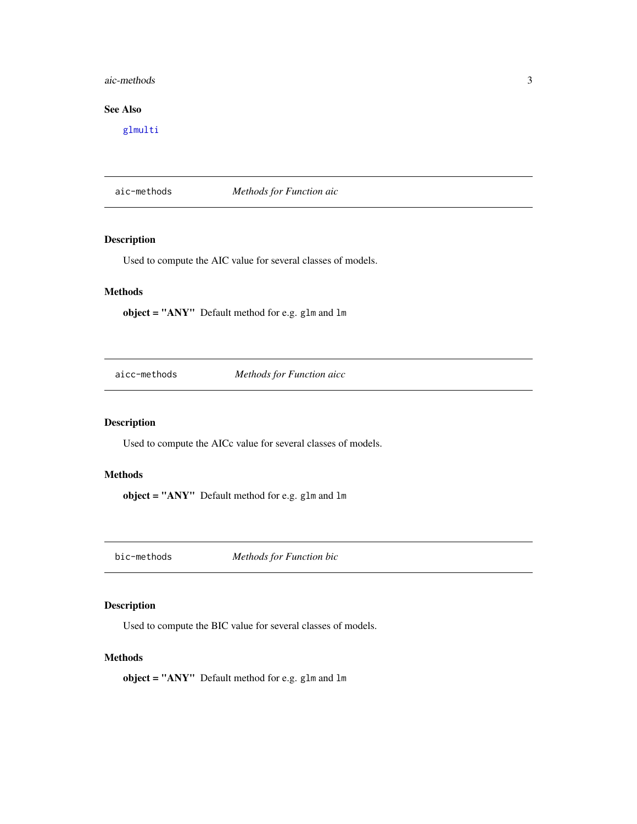# <span id="page-2-0"></span>aic-methods 3

# See Also

[glmulti](#page-7-1)

aic-methods *Methods for Function aic*

# Description

Used to compute the AIC value for several classes of models.

# Methods

object = "ANY" Default method for e.g. glm and lm

aicc-methods *Methods for Function aicc*

# Description

Used to compute the AICc value for several classes of models.

# Methods

object = "ANY" Default method for e.g. glm and lm

bic-methods *Methods for Function bic*

# Description

Used to compute the BIC value for several classes of models.

#### Methods

object = "ANY" Default method for e.g. glm and lm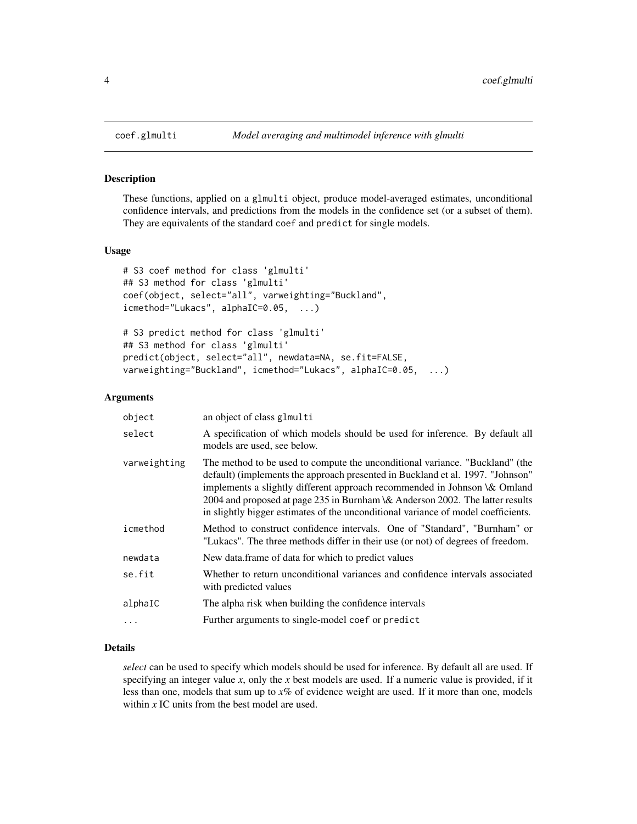These functions, applied on a glmulti object, produce model-averaged estimates, unconditional confidence intervals, and predictions from the models in the confidence set (or a subset of them). They are equivalents of the standard coef and predict for single models.

#### Usage

```
# S3 coef method for class 'glmulti'
## S3 method for class 'glmulti'
coef(object, select="all", varweighting="Buckland",
icmethod="Lukacs", alphaIC=0.05, ...)
# S3 predict method for class 'glmulti'
## S3 method for class 'glmulti'
predict(object, select="all", newdata=NA, se.fit=FALSE,
varweighting="Buckland", icmethod="Lukacs", alphaIC=0.05, ...)
```
#### Arguments

| object       | an object of class glmulti                                                                                                                                                                                                                                                                                                                                                                                        |
|--------------|-------------------------------------------------------------------------------------------------------------------------------------------------------------------------------------------------------------------------------------------------------------------------------------------------------------------------------------------------------------------------------------------------------------------|
| select       | A specification of which models should be used for inference. By default all<br>models are used, see below.                                                                                                                                                                                                                                                                                                       |
| varweighting | The method to be used to compute the unconditional variance. "Buckland" (the<br>default) (implements the approach presented in Buckland et al. 1997. "Johnson"<br>implements a slightly different approach recommended in Johnson \& Omland<br>2004 and proposed at page 235 in Burnham \& Anderson 2002. The latter results<br>in slightly bigger estimates of the unconditional variance of model coefficients. |
| icmethod     | Method to construct confidence intervals. One of "Standard", "Burnham" or<br>"Lukacs". The three methods differ in their use (or not) of degrees of freedom.                                                                                                                                                                                                                                                      |
| newdata      | New data frame of data for which to predict values                                                                                                                                                                                                                                                                                                                                                                |
| se.fit       | Whether to return unconditional variances and confidence intervals associated<br>with predicted values                                                                                                                                                                                                                                                                                                            |
| alphaIC      | The alpha risk when building the confidence intervals                                                                                                                                                                                                                                                                                                                                                             |
| .            | Further arguments to single-model coef or predict                                                                                                                                                                                                                                                                                                                                                                 |

# Details

*select* can be used to specify which models should be used for inference. By default all are used. If specifying an integer value *x*, only the *x* best models are used. If a numeric value is provided, if it less than one, models that sum up to *x*% of evidence weight are used. If it more than one, models within *x* IC units from the best model are used.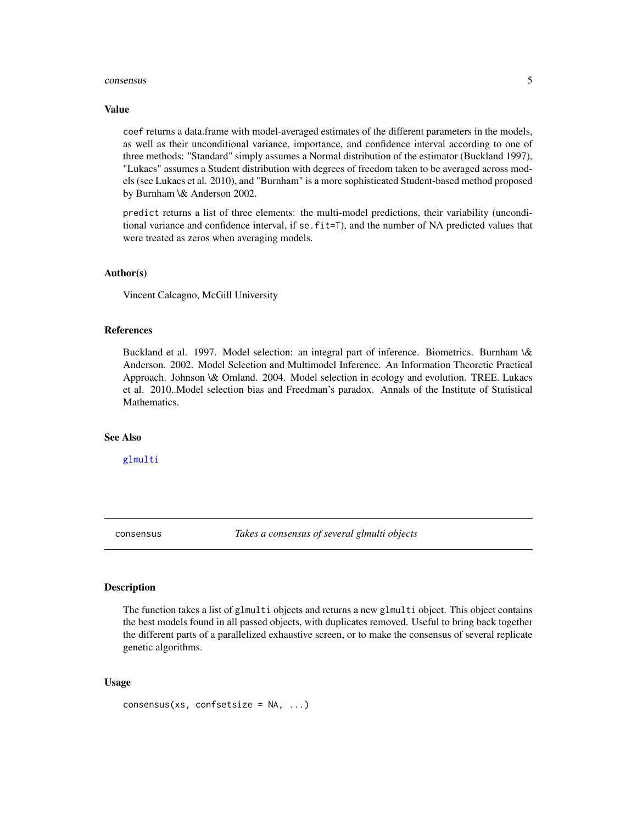#### <span id="page-4-0"></span>consensus 5

#### Value

coef returns a data.frame with model-averaged estimates of the different parameters in the models, as well as their unconditional variance, importance, and confidence interval according to one of three methods: "Standard" simply assumes a Normal distribution of the estimator (Buckland 1997), "Lukacs" assumes a Student distribution with degrees of freedom taken to be averaged across models (see Lukacs et al. 2010), and "Burnham" is a more sophisticated Student-based method proposed by Burnham \& Anderson 2002.

predict returns a list of three elements: the multi-model predictions, their variability (unconditional variance and confidence interval, if se.fit=T), and the number of NA predicted values that were treated as zeros when averaging models.

#### Author(s)

Vincent Calcagno, McGill University

#### References

Buckland et al. 1997. Model selection: an integral part of inference. Biometrics. Burnham \& Anderson. 2002. Model Selection and Multimodel Inference. An Information Theoretic Practical Approach. Johnson \& Omland. 2004. Model selection in ecology and evolution. TREE. Lukacs et al. 2010..Model selection bias and Freedman's paradox. Annals of the Institute of Statistical Mathematics.

# See Also

[glmulti](#page-7-1)

<span id="page-4-1"></span>consensus *Takes a consensus of several glmulti objects*

# Description

The function takes a list of glmulti objects and returns a new glmulti object. This object contains the best models found in all passed objects, with duplicates removed. Useful to bring back together the different parts of a parallelized exhaustive screen, or to make the consensus of several replicate genetic algorithms.

#### Usage

 $consensus(xs, confsetsize = NA, ...)$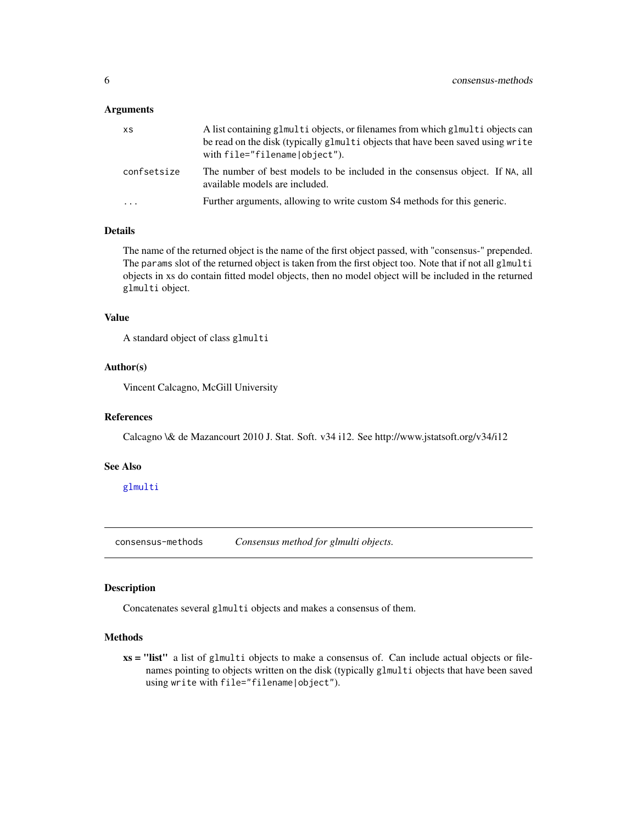#### <span id="page-5-0"></span>**Arguments**

| <b>XS</b>   | A list containing glmulti objects, or filenames from which glmulti objects can<br>be read on the disk (typically glmulti objects that have been saved using write<br>with file="filename object"). |
|-------------|----------------------------------------------------------------------------------------------------------------------------------------------------------------------------------------------------|
| confsetsize | The number of best models to be included in the consensus object. If NA, all<br>available models are included.                                                                                     |
| .           | Further arguments, allowing to write custom S4 methods for this generic.                                                                                                                           |
|             |                                                                                                                                                                                                    |

# Details

The name of the returned object is the name of the first object passed, with "consensus-" prepended. The params slot of the returned object is taken from the first object too. Note that if not all glmulti objects in xs do contain fitted model objects, then no model object will be included in the returned glmulti object.

#### Value

A standard object of class glmulti

#### Author(s)

Vincent Calcagno, McGill University

#### References

Calcagno \& de Mazancourt 2010 J. Stat. Soft. v34 i12. See http://www.jstatsoft.org/v34/i12

#### See Also

[glmulti](#page-7-1)

consensus-methods *Consensus method for glmulti objects.*

#### Description

Concatenates several glmulti objects and makes a consensus of them.

#### **Methods**

xs = "list" a list of glmulti objects to make a consensus of. Can include actual objects or filenames pointing to objects written on the disk (typically glmulti objects that have been saved using write with file="filename|object").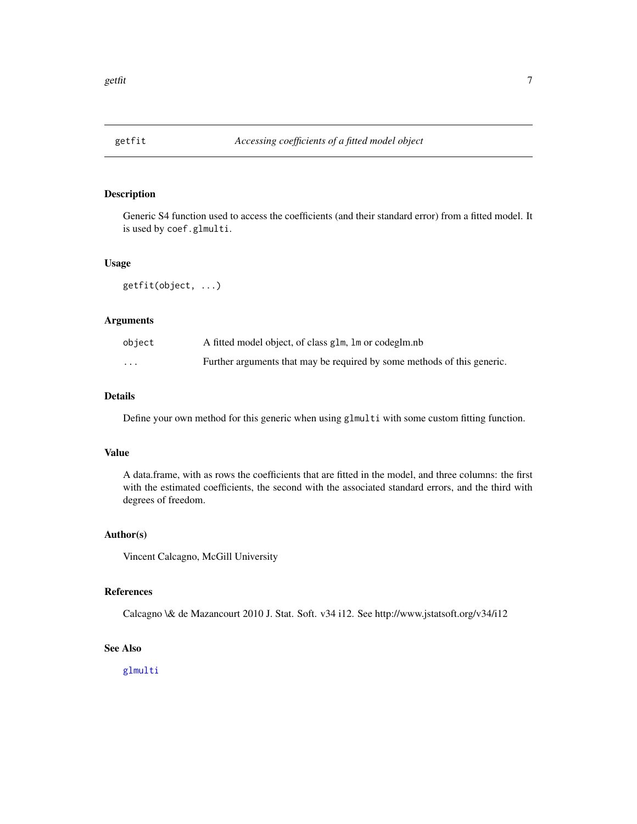<span id="page-6-0"></span>

Generic S4 function used to access the coefficients (and their standard error) from a fitted model. It is used by coef.glmulti.

#### Usage

getfit(object, ...)

# Arguments

| object   | A fitted model object, of class glm, lm or codeglm.nb                   |
|----------|-------------------------------------------------------------------------|
| $\cdots$ | Further arguments that may be required by some methods of this generic. |

# Details

Define your own method for this generic when using glmulti with some custom fitting function.

### Value

A data.frame, with as rows the coefficients that are fitted in the model, and three columns: the first with the estimated coefficients, the second with the associated standard errors, and the third with degrees of freedom.

#### Author(s)

Vincent Calcagno, McGill University

#### References

Calcagno \& de Mazancourt 2010 J. Stat. Soft. v34 i12. See http://www.jstatsoft.org/v34/i12

# See Also

[glmulti](#page-7-1)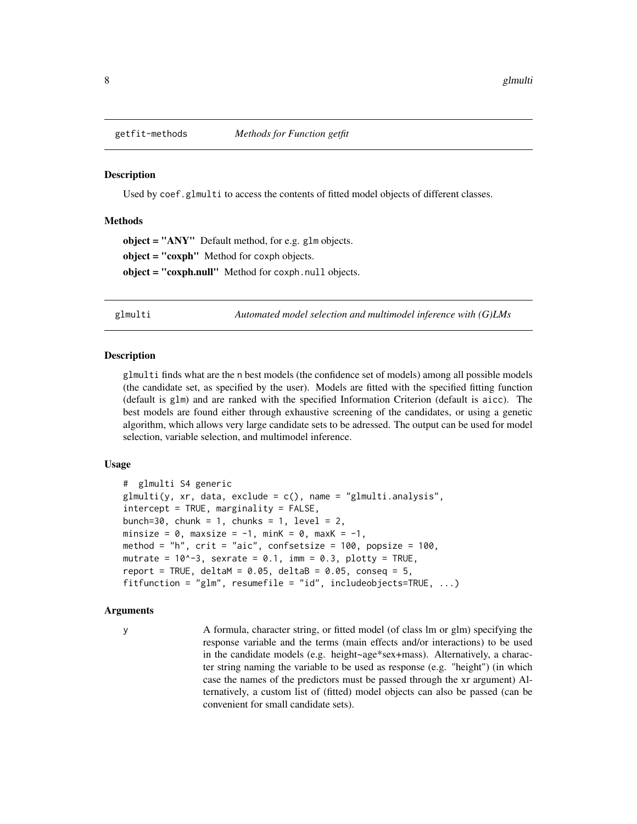<span id="page-7-0"></span>

Used by coef.glmulti to access the contents of fitted model objects of different classes.

#### Methods

object = "ANY" Default method, for e.g. glm objects. object = "coxph" Method for coxph objects. object = "coxph.null" Method for coxph.null objects.

<span id="page-7-1"></span>glmulti *Automated model selection and multimodel inference with (G)LMs*

#### **Description**

glmulti finds what are the n best models (the confidence set of models) among all possible models (the candidate set, as specified by the user). Models are fitted with the specified fitting function (default is glm) and are ranked with the specified Information Criterion (default is aicc). The best models are found either through exhaustive screening of the candidates, or using a genetic algorithm, which allows very large candidate sets to be adressed. The output can be used for model selection, variable selection, and multimodel inference.

# Usage

```
# glmulti S4 generic
glmulti(y, xr, data, exclude = c(), name = "glmulti.analysis",
intercept = TRUE, marginality = FALSE,
bunch=30, chunk = 1, chunks = 1, level = 2,
minsize = 0, maxsize = -1, minK = 0, maxK = -1,
method = "h", crit = "aic", confsetsize = 100, popsize = 100,
mutrate = 10^{\circ}-3, sexrate = 0.1, imm = 0.3, plotty = TRUE,
report = TRUE, deltaM = 0.05, deltaB = 0.05, conseq = 5,
fitfunction = "glm", resumefile = "id", includeobjects=TRUE, ...)
```
#### Arguments

y A formula, character string, or fitted model (of class lm or glm) specifying the response variable and the terms (main effects and/or interactions) to be used in the candidate models (e.g. height~age\*sex+mass). Alternatively, a character string naming the variable to be used as response (e.g. "height") (in which case the names of the predictors must be passed through the xr argument) Alternatively, a custom list of (fitted) model objects can also be passed (can be convenient for small candidate sets).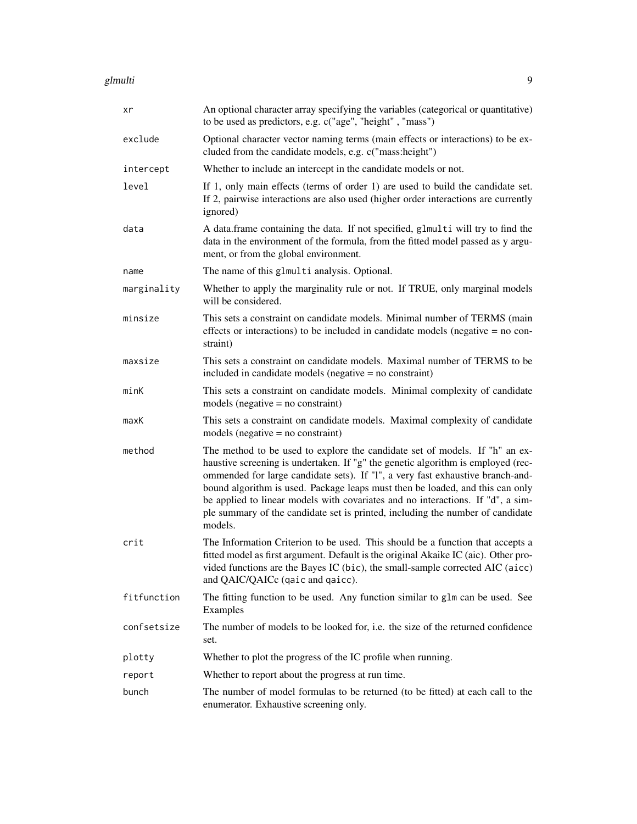#### glmulti 9

| xr          | An optional character array specifying the variables (categorical or quantitative)<br>to be used as predictors, e.g. c("age", "height", "mass")                                                                                                                                                                                                                                                                                                                                                                    |
|-------------|--------------------------------------------------------------------------------------------------------------------------------------------------------------------------------------------------------------------------------------------------------------------------------------------------------------------------------------------------------------------------------------------------------------------------------------------------------------------------------------------------------------------|
| exclude     | Optional character vector naming terms (main effects or interactions) to be ex-<br>cluded from the candidate models, e.g. c("mass:height")                                                                                                                                                                                                                                                                                                                                                                         |
| intercept   | Whether to include an intercept in the candidate models or not.                                                                                                                                                                                                                                                                                                                                                                                                                                                    |
| level       | If 1, only main effects (terms of order 1) are used to build the candidate set.<br>If 2, pairwise interactions are also used (higher order interactions are currently<br>ignored)                                                                                                                                                                                                                                                                                                                                  |
| data        | A data.frame containing the data. If not specified, glmulti will try to find the<br>data in the environment of the formula, from the fitted model passed as y argu-<br>ment, or from the global environment.                                                                                                                                                                                                                                                                                                       |
| name        | The name of this glmulti analysis. Optional.                                                                                                                                                                                                                                                                                                                                                                                                                                                                       |
| marginality | Whether to apply the marginality rule or not. If TRUE, only marginal models<br>will be considered.                                                                                                                                                                                                                                                                                                                                                                                                                 |
| minsize     | This sets a constraint on candidate models. Minimal number of TERMS (main<br>effects or interactions) to be included in candidate models (negative $=$ no con-<br>straint)                                                                                                                                                                                                                                                                                                                                         |
| maxsize     | This sets a constraint on candidate models. Maximal number of TERMS to be<br>included in candidate models (negative = no constraint)                                                                                                                                                                                                                                                                                                                                                                               |
| minK        | This sets a constraint on candidate models. Minimal complexity of candidate<br>models (negative $=$ no constraint)                                                                                                                                                                                                                                                                                                                                                                                                 |
| maxK        | This sets a constraint on candidate models. Maximal complexity of candidate<br>models (negative $=$ no constraint)                                                                                                                                                                                                                                                                                                                                                                                                 |
| method      | The method to be used to explore the candidate set of models. If "h" an ex-<br>haustive screening is undertaken. If "g" the genetic algorithm is employed (rec-<br>ommended for large candidate sets). If "l", a very fast exhaustive branch-and-<br>bound algorithm is used. Package leaps must then be loaded, and this can only<br>be applied to linear models with covariates and no interactions. If "d", a sim-<br>ple summary of the candidate set is printed, including the number of candidate<br>models. |
| crit        | The Information Criterion to be used. This should be a function that accepts a<br>fitted model as first argument. Default is the original Akaike IC (aic). Other pro-<br>vided functions are the Bayes IC (bic), the small-sample corrected AIC (aicc)<br>and QAIC/QAICc (qaic and qaicc).                                                                                                                                                                                                                         |
| fitfunction | The fitting function to be used. Any function similar to glm can be used. See<br>Examples                                                                                                                                                                                                                                                                                                                                                                                                                          |
| confsetsize | The number of models to be looked for, i.e. the size of the returned confidence<br>set.                                                                                                                                                                                                                                                                                                                                                                                                                            |
| plotty      | Whether to plot the progress of the IC profile when running.                                                                                                                                                                                                                                                                                                                                                                                                                                                       |
| report      | Whether to report about the progress at run time.                                                                                                                                                                                                                                                                                                                                                                                                                                                                  |
| bunch       | The number of model formulas to be returned (to be fitted) at each call to the<br>enumerator. Exhaustive screening only.                                                                                                                                                                                                                                                                                                                                                                                           |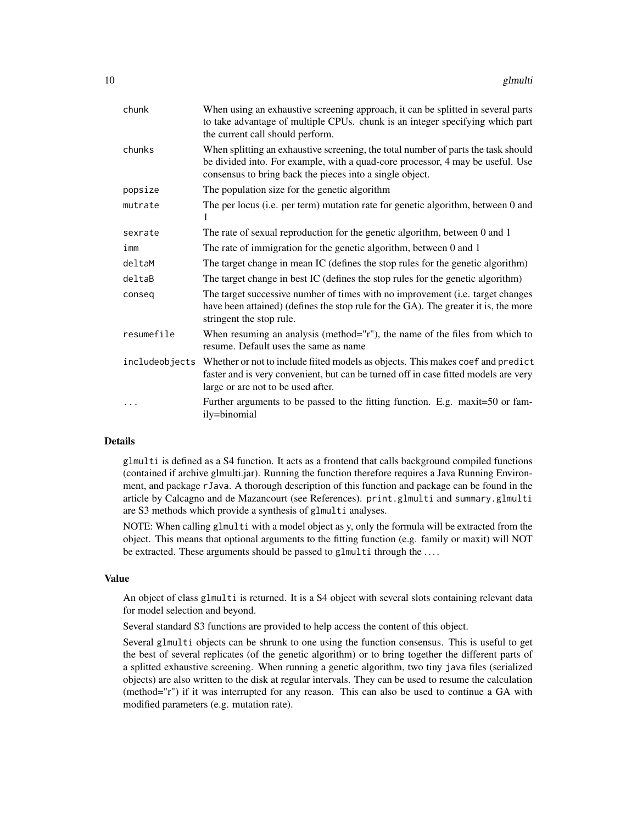| chunk          | When using an exhaustive screening approach, it can be splitted in several parts<br>to take advantage of multiple CPUs. chunk is an integer specifying which part<br>the current call should perform.                           |
|----------------|---------------------------------------------------------------------------------------------------------------------------------------------------------------------------------------------------------------------------------|
| chunks         | When splitting an exhaustive screening, the total number of parts the task should<br>be divided into. For example, with a quad-core processor, 4 may be useful. Use<br>consensus to bring back the pieces into a single object. |
| popsize        | The population size for the genetic algorithm                                                                                                                                                                                   |
| mutrate        | The per locus (i.e. per term) mutation rate for genetic algorithm, between 0 and<br>1                                                                                                                                           |
| sexrate        | The rate of sexual reproduction for the genetic algorithm, between 0 and 1                                                                                                                                                      |
| imm            | The rate of immigration for the genetic algorithm, between 0 and 1                                                                                                                                                              |
| deltaM         | The target change in mean IC (defines the stop rules for the genetic algorithm)                                                                                                                                                 |
| deltaB         | The target change in best IC (defines the stop rules for the genetic algorithm)                                                                                                                                                 |
| conseq         | The target successive number of times with no improvement (i.e. target changes<br>have been attained) (defines the stop rule for the GA). The greater it is, the more<br>stringent the stop rule.                               |
| resumefile     | When resuming an analysis (method="r"), the name of the files from which to<br>resume. Default uses the same as name                                                                                                            |
| includeobjects | Whether or not to include fiited models as objects. This makes coef and predict<br>faster and is very convenient, but can be turned off in case fitted models are very<br>large or are not to be used after.                    |
|                | Further arguments to be passed to the fitting function. E.g. maxit=50 or fam-<br>ily=binomial                                                                                                                                   |

#### Details

glmulti is defined as a S4 function. It acts as a frontend that calls background compiled functions (contained if archive glmulti.jar). Running the function therefore requires a Java Running Environment, and package rJava. A thorough description of this function and package can be found in the article by Calcagno and de Mazancourt (see References). print.glmulti and summary.glmulti are S3 methods which provide a synthesis of glmulti analyses.

NOTE: When calling glmulti with a model object as y, only the formula will be extracted from the object. This means that optional arguments to the fitting function (e.g. family or maxit) will NOT be extracted. These arguments should be passed to glmulti through the ....

#### Value

An object of class glmulti is returned. It is a S4 object with several slots containing relevant data for model selection and beyond.

Several standard S3 functions are provided to help access the content of this object.

Several glmulti objects can be shrunk to one using the function consensus. This is useful to get the best of several replicates (of the genetic algorithm) or to bring together the different parts of a splitted exhaustive screening. When running a genetic algorithm, two tiny java files (serialized objects) are also written to the disk at regular intervals. They can be used to resume the calculation (method="r") if it was interrupted for any reason. This can also be used to continue a GA with modified parameters (e.g. mutation rate).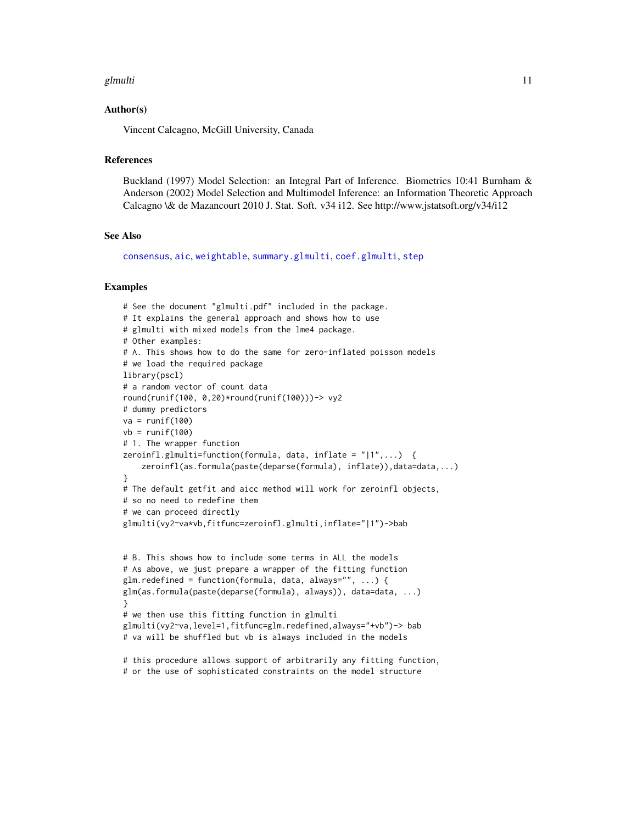#### <span id="page-10-0"></span>glmulti that is a set of the set of the set of the set of the set of the set of the set of the set of the set o

#### Author(s)

Vincent Calcagno, McGill University, Canada

# References

Buckland (1997) Model Selection: an Integral Part of Inference. Biometrics 10:41 Burnham & Anderson (2002) Model Selection and Multimodel Inference: an Information Theoretic Approach Calcagno \& de Mazancourt 2010 J. Stat. Soft. v34 i12. See http://www.jstatsoft.org/v34/i12

#### See Also

[consensus](#page-4-1), [aic](#page-1-1), [weightable](#page-15-1), [summary.glmulti](#page-13-1), [coef.glmulti](#page-3-1), [step](#page-0-0)

#### Examples

```
# See the document "glmulti.pdf" included in the package.
# It explains the general approach and shows how to use
# glmulti with mixed models from the lme4 package.
# Other examples:
# A. This shows how to do the same for zero-inflated poisson models
# we load the required package
library(pscl)
# a random vector of count data
round(runif(100, 0,20)*round(runif(100)))-> vy2
# dummy predictors
va = runif(100)vb = runif(100)# 1. The wrapper function
zeroinfl.glmulti=function(formula, data, inflate = "|1",...) {
    zeroinfl(as.formula(paste(deparse(formula), inflate)),data=data,...)
}
# The default getfit and aicc method will work for zeroinfl objects,
# so no need to redefine them
# we can proceed directly
glmulti(vy2~va*vb,fitfunc=zeroinfl.glmulti,inflate="|1")->bab
# B. This shows how to include some terms in ALL the models
# As above, we just prepare a wrapper of the fitting function
glm.redefined = function(formula, data, always="", ...) {
glm(as.formula(paste(deparse(formula), always)), data=data, ...)
}
# we then use this fitting function in glmulti
glmulti(vy2~va,level=1,fitfunc=glm.redefined,always="+vb")-> bab
# va will be shuffled but vb is always included in the models
# this procedure allows support of arbitrarily any fitting function,
```
# or the use of sophisticated constraints on the model structure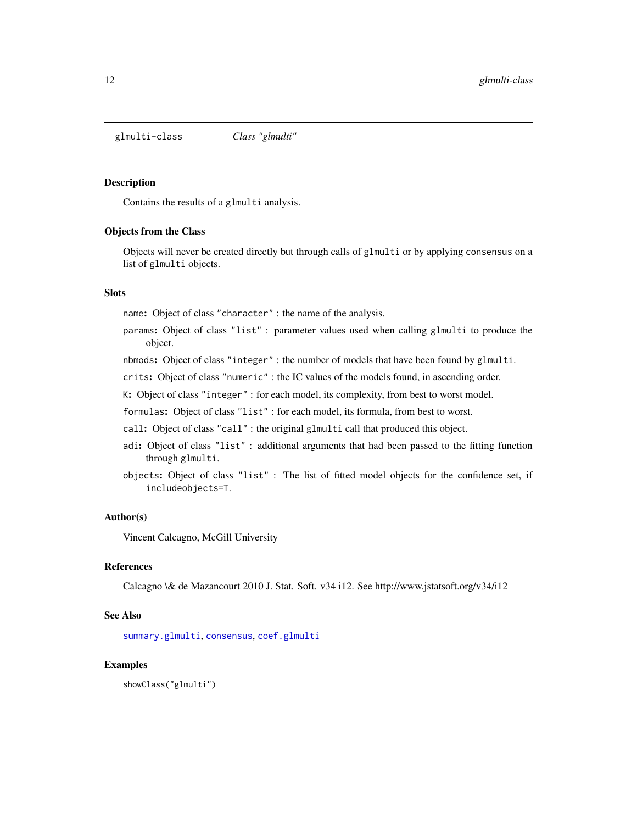<span id="page-11-0"></span>glmulti-class *Class "glmulti"*

#### Description

Contains the results of a glmulti analysis.

#### Objects from the Class

Objects will never be created directly but through calls of glmulti or by applying consensus on a list of glmulti objects.

# Slots

name: Object of class "character" : the name of the analysis.

- params: Object of class "list" : parameter values used when calling glmulti to produce the object.
- nbmods: Object of class "integer" : the number of models that have been found by glmulti.

crits: Object of class "numeric" : the IC values of the models found, in ascending order.

K: Object of class "integer" : for each model, its complexity, from best to worst model.

formulas: Object of class "list" : for each model, its formula, from best to worst.

call: Object of class "call" : the original glmulti call that produced this object.

- adi: Object of class "list" : additional arguments that had been passed to the fitting function through glmulti.
- objects: Object of class "list" : The list of fitted model objects for the confidence set, if includeobjects=T.

## Author(s)

Vincent Calcagno, McGill University

# References

Calcagno \& de Mazancourt 2010 J. Stat. Soft. v34 i12. See http://www.jstatsoft.org/v34/i12

#### See Also

[summary.glmulti](#page-13-1), [consensus](#page-4-1), [coef.glmulti](#page-3-1)

# Examples

showClass("glmulti")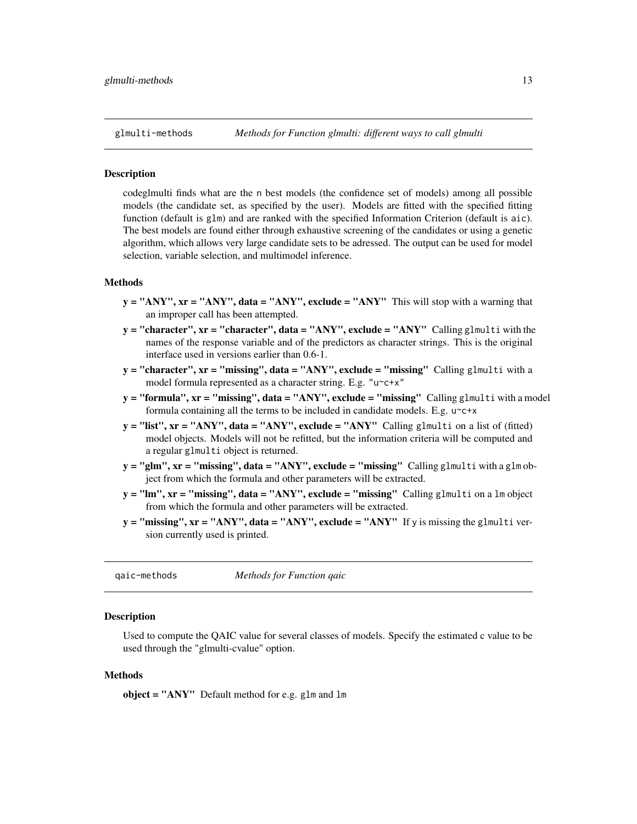<span id="page-12-0"></span>

codeglmulti finds what are the n best models (the confidence set of models) among all possible models (the candidate set, as specified by the user). Models are fitted with the specified fitting function (default is glm) and are ranked with the specified Information Criterion (default is aic). The best models are found either through exhaustive screening of the candidates or using a genetic algorithm, which allows very large candidate sets to be adressed. The output can be used for model selection, variable selection, and multimodel inference.

#### Methods

- $y = "ANY", xr = "ANY", data = "ANY", exclude = "ANY" This will stop with a warning that$ an improper call has been attempted.
- $y =$  "character",  $xr =$  "character", data = "ANY", exclude = "ANY" Calling glmulti with the names of the response variable and of the predictors as character strings. This is the original interface used in versions earlier than 0.6-1.
- $y =$  "character",  $xr =$  "missing", data = "ANY", exclude = "missing" Calling glmulti with a model formula represented as a character string. E.g. "u~c+x"
- $y =$  "formula",  $xr =$  "missing", data = "ANY", exclude = "missing" Calling glmulti with a model formula containing all the terms to be included in candidate models. E.g. u~c+x
- $y =$ "list",  $xr = "ANY", data = "ANY", exclude = "ANY" Calling glmulti on a list of (fitted)$ model objects. Models will not be refitted, but the information criteria will be computed and a regular glmulti object is returned.
- $y = "glm", xr = "missing", data = "ANY", exclude = "missing" Calling glmulti with a glmob$ ject from which the formula and other parameters will be extracted.
- y = "lm", xr = "missing", data = "ANY", exclude = "missing" Calling glmulti on a lm object from which the formula and other parameters will be extracted.
- $y =$  "missing",  $xr =$  "ANY", data = "ANY", exclude = "ANY" If y is missing the glmulti version currently used is printed.

qaic-methods *Methods for Function qaic*

#### Description

Used to compute the QAIC value for several classes of models. Specify the estimated c value to be used through the "glmulti-cvalue" option.

# Methods

object = " $ANY$ " Default method for e.g. glm and lm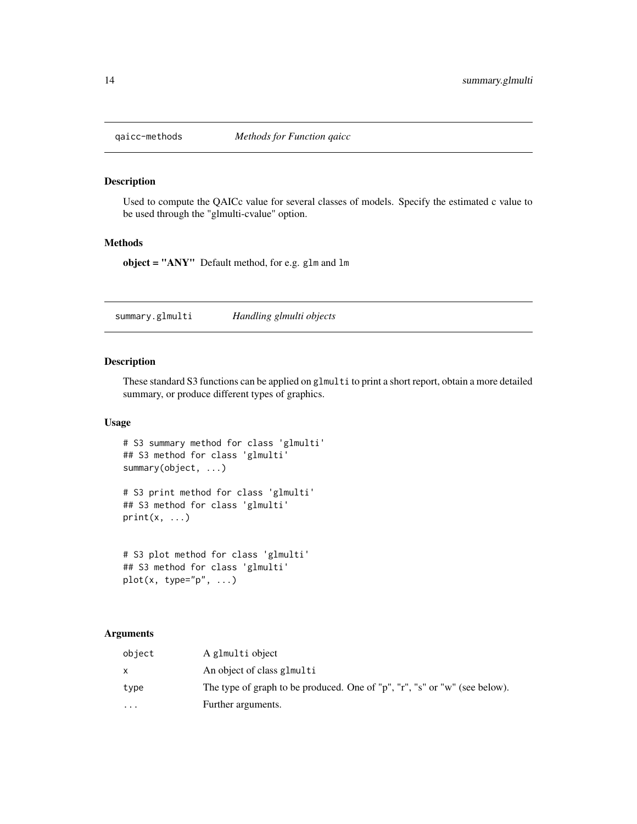<span id="page-13-0"></span>

Used to compute the QAICc value for several classes of models. Specify the estimated c value to be used through the "glmulti-cvalue" option.

# Methods

object = "ANY" Default method, for e.g. glm and lm

<span id="page-13-1"></span>summary.glmulti *Handling glmulti objects*

# Description

These standard S3 functions can be applied on glmulti to print a short report, obtain a more detailed summary, or produce different types of graphics.

# Usage

```
# S3 summary method for class 'glmulti'
## S3 method for class 'glmulti'
summary(object, ...)
```
# S3 print method for class 'glmulti' ## S3 method for class 'glmulti'  $print(x, \ldots)$ 

```
# S3 plot method for class 'glmulti'
## S3 method for class 'glmulti'
plot(x, type="p", ...)
```
#### Arguments

| object   | A glmulti object                                                           |
|----------|----------------------------------------------------------------------------|
|          | An object of class glmulti                                                 |
| type     | The type of graph to be produced. One of "p", "r", "s" or "w" (see below). |
| $\cdots$ | Further arguments.                                                         |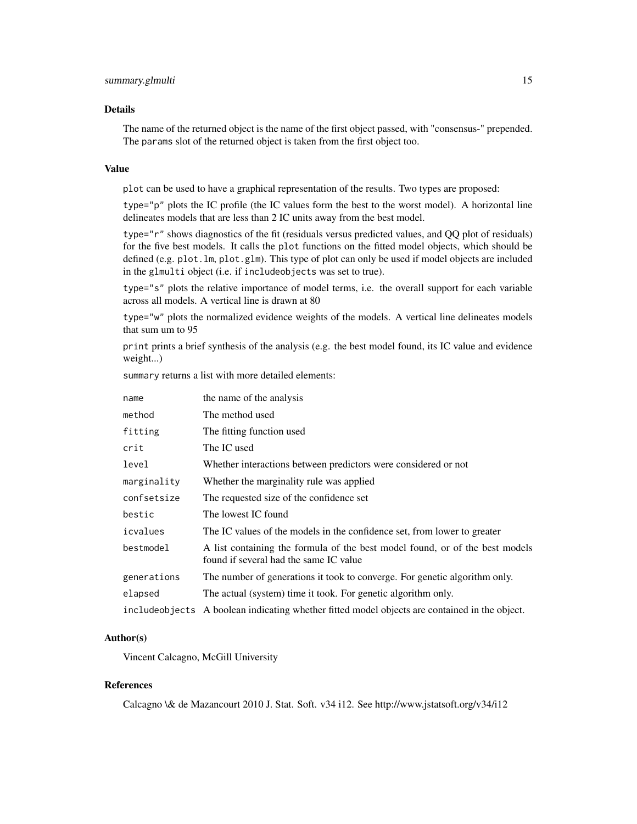#### Details

The name of the returned object is the name of the first object passed, with "consensus-" prepended. The params slot of the returned object is taken from the first object too.

#### Value

plot can be used to have a graphical representation of the results. Two types are proposed:

type="p" plots the IC profile (the IC values form the best to the worst model). A horizontal line delineates models that are less than 2 IC units away from the best model.

type="r" shows diagnostics of the fit (residuals versus predicted values, and QQ plot of residuals) for the five best models. It calls the plot functions on the fitted model objects, which should be defined (e.g. plot.lm, plot.glm). This type of plot can only be used if model objects are included in the glmulti object (i.e. if includeobjects was set to true).

type="s" plots the relative importance of model terms, i.e. the overall support for each variable across all models. A vertical line is drawn at 80

type="w" plots the normalized evidence weights of the models. A vertical line delineates models that sum um to 95

print prints a brief synthesis of the analysis (e.g. the best model found, its IC value and evidence weight...)

summary returns a list with more detailed elements:

| name        | the name of the analysis                                                                                               |
|-------------|------------------------------------------------------------------------------------------------------------------------|
| method      | The method used                                                                                                        |
| fitting     | The fitting function used                                                                                              |
| crit        | The IC used                                                                                                            |
| level       | Whether interactions between predictors were considered or not                                                         |
| marginality | Whether the marginality rule was applied                                                                               |
| confsetsize | The requested size of the confidence set                                                                               |
| bestic      | The lowest IC found                                                                                                    |
| icvalues    | The IC values of the models in the confidence set, from lower to greater                                               |
| bestmodel   | A list containing the formula of the best model found, or of the best models<br>found if several had the same IC value |
| generations | The number of generations it took to converge. For genetic algorithm only.                                             |
| elapsed     | The actual (system) time it took. For genetic algorithm only.                                                          |
|             | include objects A boolean indicating whether fitted model objects are contained in the object.                         |

#### Author(s)

Vincent Calcagno, McGill University

#### References

Calcagno \& de Mazancourt 2010 J. Stat. Soft. v34 i12. See http://www.jstatsoft.org/v34/i12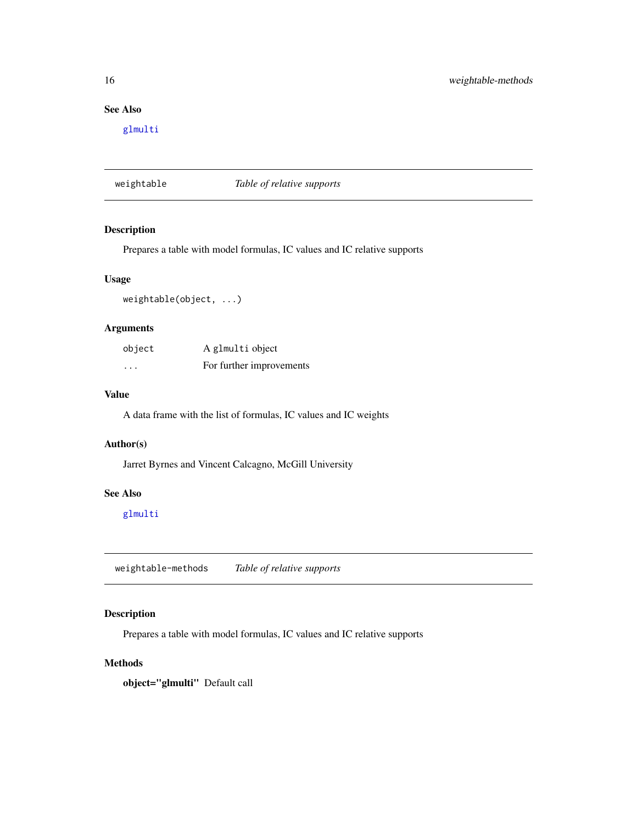# See Also

[glmulti](#page-7-1)

<span id="page-15-1"></span>weightable *Table of relative supports*

# Description

Prepares a table with model formulas, IC values and IC relative supports

# Usage

weightable(object, ...)

# Arguments

| object                  | A glmulti object         |
|-------------------------|--------------------------|
| $\cdot$ $\cdot$ $\cdot$ | For further improvements |

# Value

A data frame with the list of formulas, IC values and IC weights

#### Author(s)

Jarret Byrnes and Vincent Calcagno, McGill University

# See Also

[glmulti](#page-7-1)

weightable-methods *Table of relative supports*

# Description

Prepares a table with model formulas, IC values and IC relative supports

# Methods

object="glmulti" Default call

<span id="page-15-0"></span>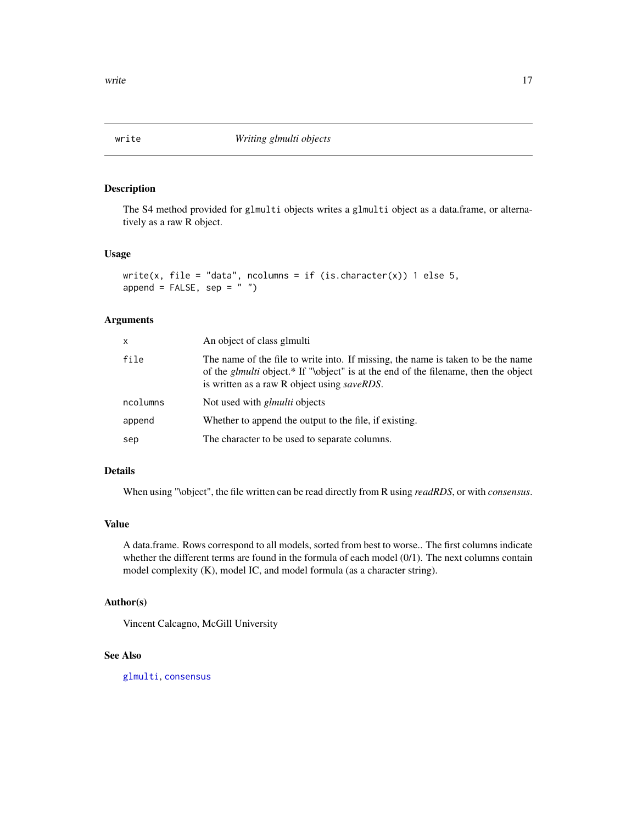<span id="page-16-0"></span>

The S4 method provided for glmulti objects writes a glmulti object as a data.frame, or alternatively as a raw R object.

# Usage

```
write(x, file = "data", ncolumns = if (is.character(x)) 1 else 5,
append = FALSE, sep = " "
```
# Arguments

| x        | An object of class glmulti                                                                                                                                                                                                            |
|----------|---------------------------------------------------------------------------------------------------------------------------------------------------------------------------------------------------------------------------------------|
| file     | The name of the file to write into. If missing, the name is taken to be the name<br>of the <i>glmulti</i> object.* If "\object" is at the end of the filename, then the object<br>is written as a raw R object using <i>saveRDS</i> . |
| ncolumns | Not used with <i>glmulti</i> objects                                                                                                                                                                                                  |
| append   | Whether to append the output to the file, if existing.                                                                                                                                                                                |
| sep      | The character to be used to separate columns.                                                                                                                                                                                         |

# Details

When using "\object", the file written can be read directly from R using *readRDS*, or with *consensus*.

#### Value

A data.frame. Rows correspond to all models, sorted from best to worse.. The first columns indicate whether the different terms are found in the formula of each model (0/1). The next columns contain model complexity (K), model IC, and model formula (as a character string).

# Author(s)

Vincent Calcagno, McGill University

#### See Also

[glmulti](#page-7-1), [consensus](#page-4-1)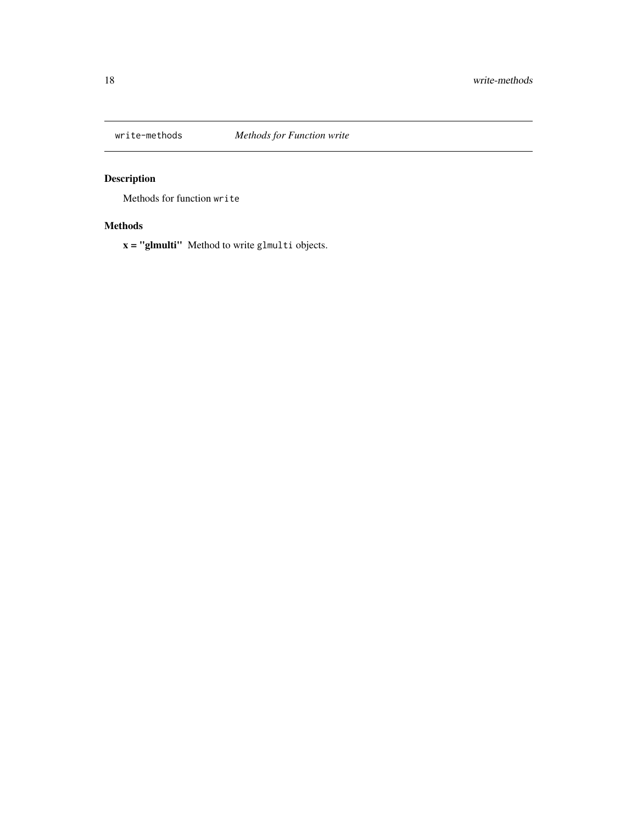<span id="page-17-0"></span>

Methods for function write

# Methods

x = "glmulti" Method to write glmulti objects.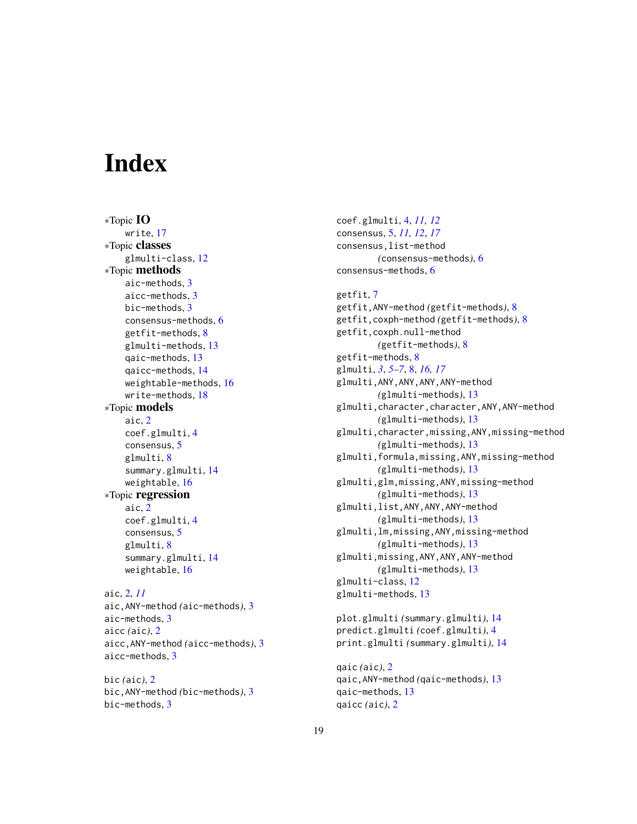# <span id="page-18-0"></span>**Index**

∗Topic IO write, [17](#page-16-0) ∗Topic classes glmulti-class, [12](#page-11-0) ∗Topic methods aic-methods, [3](#page-2-0) aicc-methods, [3](#page-2-0) bic-methods, [3](#page-2-0) consensus-methods, [6](#page-5-0) getfit-methods, [8](#page-7-0) glmulti-methods, [13](#page-12-0) qaic-methods, [13](#page-12-0) qaicc-methods, [14](#page-13-0) weightable-methods, [16](#page-15-0) write-methods, [18](#page-17-0) ∗Topic models aic, [2](#page-1-0) coef.glmulti, [4](#page-3-0) consensus, [5](#page-4-0) glmulti, [8](#page-7-0) summary.glmulti, [14](#page-13-0) weightable, [16](#page-15-0) ∗Topic regression aic, [2](#page-1-0) coef.glmulti, [4](#page-3-0) consensus, [5](#page-4-0) glmulti, [8](#page-7-0) summary.glmulti, [14](#page-13-0) weightable, [16](#page-15-0) aic, [2,](#page-1-0) *[11](#page-10-0)* aic,ANY-method *(*aic-methods*)*, [3](#page-2-0)

```
aic-methods, 3
aicc (aic), 2
aicc,ANY-method (aicc-methods), 3
aicc-methods, 3
```
bic *(*aic*)*, [2](#page-1-0) bic,ANY-method *(*bic-methods*)*, [3](#page-2-0) bic-methods, [3](#page-2-0)

coef.glmulti, [4,](#page-3-0) *[11,](#page-10-0) [12](#page-11-0)* consensus, [5,](#page-4-0) *[11,](#page-10-0) [12](#page-11-0)*, *[17](#page-16-0)* consensus,list-method *(*consensus-methods*)*, [6](#page-5-0) consensus-methods, [6](#page-5-0)

getfit, [7](#page-6-0)

getfit,ANY-method *(*getfit-methods*)*, [8](#page-7-0) getfit,coxph-method *(*getfit-methods*)*, [8](#page-7-0) getfit,coxph.null-method *(*getfit-methods*)*, [8](#page-7-0) getfit-methods, [8](#page-7-0) glmulti, *[3](#page-2-0)*, *[5](#page-4-0)[–7](#page-6-0)*, [8,](#page-7-0) *[16,](#page-15-0) [17](#page-16-0)* glmulti,ANY,ANY,ANY,ANY-method *(*glmulti-methods*)*, [13](#page-12-0) glmulti,character,character,ANY,ANY-method *(*glmulti-methods*)*, [13](#page-12-0) glmulti,character,missing,ANY,missing-method *(*glmulti-methods*)*, [13](#page-12-0) glmulti,formula,missing,ANY,missing-method *(*glmulti-methods*)*, [13](#page-12-0) glmulti,glm,missing,ANY,missing-method *(*glmulti-methods*)*, [13](#page-12-0) glmulti,list,ANY,ANY,ANY-method *(*glmulti-methods*)*, [13](#page-12-0) glmulti,lm,missing,ANY,missing-method *(*glmulti-methods*)*, [13](#page-12-0) glmulti,missing,ANY,ANY,ANY-method *(*glmulti-methods*)*, [13](#page-12-0) glmulti-class, [12](#page-11-0) glmulti-methods, [13](#page-12-0) plot.glmulti *(*summary.glmulti*)*, [14](#page-13-0) predict.glmulti *(*coef.glmulti*)*, [4](#page-3-0) print.glmulti *(*summary.glmulti*)*, [14](#page-13-0) qaic *(*aic*)*, [2](#page-1-0)

qaic,ANY-method *(*qaic-methods*)*, [13](#page-12-0) qaic-methods, [13](#page-12-0) qaicc *(*aic*)*, [2](#page-1-0)